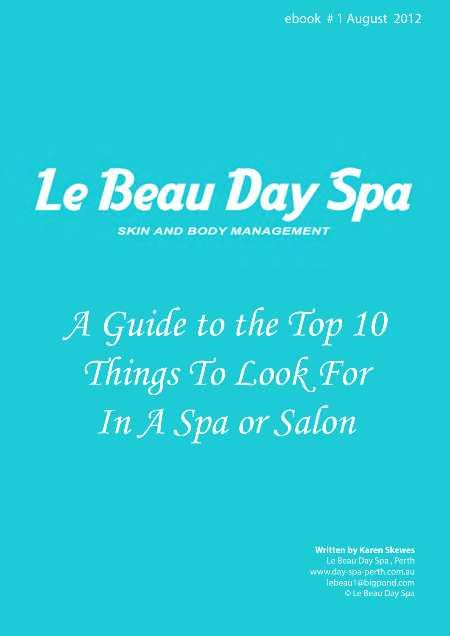ebook # 1 August 2012



*A Guide to the Top 10 Things To Look For In A Spa or Salon* 

**Written by Karen Skewes**

Le Bea[u Day Spa , Perth](http://www.day-spa-perth.com.au/gift-vouchers.html)  www.day-spa-perth.com.au lebeau1@bigpond.com © Le Beau Day Spa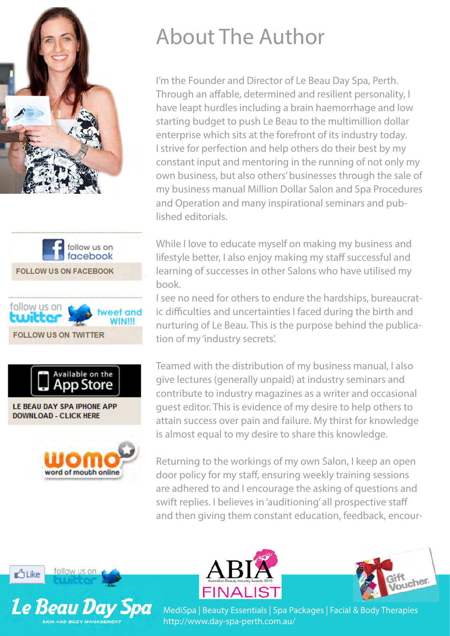







LE BEAU DAY SPA IPHONE APP **DOWNLOAD - CLICK HERE** 



## About The Author

I'm the Founder and Director of Le Beau Day Spa, Perth. Through an affable, determined and resilient personality, I have leapt hurdles including a brain haemorrhage and low starting budget to push Le Beau to the multimillion dollar enterprise which sits at the forefront of its industry today. I strive for perfection and help others do their best by my constant input and mentoring in the running of not only my own business, but also others' businesses through the sale of my business manual Million Dollar Salon and Spa Procedures and Operation and many inspirational seminars and published editorials.

While I love to educate myself on making my business and lifestyle better, I also enjoy making my staff successful and learning of successes in other Salons who have utilised my book.

I see no need for others to endure the hardships, bureaucratic difficulties and uncertainties I faced during the birth and nurturing of Le Beau. This is the purpose behind the publication of my 'industry secrets'.

Teamed with the distribution of my business manual, I also give lectures (generally unpaid) at industry seminars and contribute to industry magazines as a writer and occasional guest editor. This is evidence of my desire to help others to attain success over pain and failure. My thirst for knowledge is almost equal to my desire to share this knowledge.

Returning to the workings of my own Salon, I keep an open door policy for my staff, ensuring weekly training sessions are adhered to and I encourage the asking of questions and swift replies. I believes in 'auditioning' all prospective staff and then giving them constant education, feedback, encour-







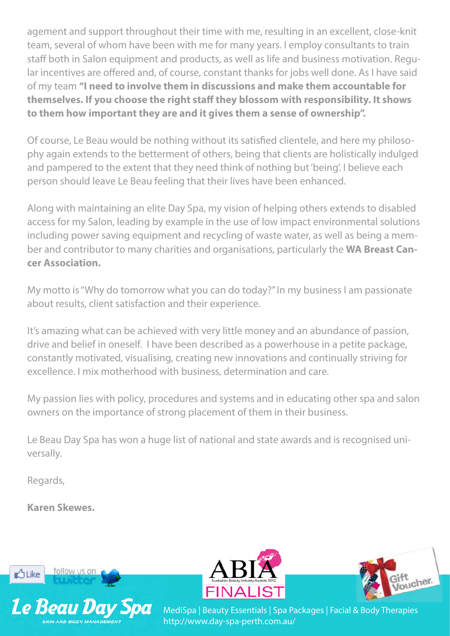agement and support throughout their time with me, resulting in an excellent, close-knit team, several of whom have been with me for many years. I employ consultants to train staff both in Salon equipment and products, as well as life and business motivation. Regular incentives are offered and, of course, constant thanks for jobs well done. As I have said of my team **"I need to involve them in discussions and make them accountable for themselves. If you choose the right staff they blossom with responsibility. It shows to them how important they are and it gives them a sense of ownership".**

Of course, Le Beau would be nothing without its satisfied clientele, and here my philosophy again extends to the betterment of others, being that clients are holistically indulged and pampered to the extent that they need think of nothing but 'being'. I believe each person should leave Le Beau feeling that their lives have been enhanced.

Along with maintaining an elite Day Spa, my vision of helping others extends to disabled access for my Salon, leading by example in the use of low impact environmental solutions including power saving equipment and recycling of waste water, as well as being a member and contributor to many charities and organisations, particularly the **WA Breast Cancer Association.**

My motto is "Why do tomorrow what you can do today?" In my business I am passionate about results, client satisfaction and their experience.

It's amazing what can be achieved with very little money and an abundance of passion, drive and belief in oneself. I have been described as a powerhouse in a petite package, constantly motivated, visualising, creating new innovations and continually striving for excellence. I mix motherhood with business, determination and care.

My passion lies with policy, procedures and systems and in educating other spa and salon owners on the importance of strong placement of them in their business.

Le Beau Day Spa has won a huge list of national and state awards and is recognised universally.

Regards,

**Karen Skewes.** 







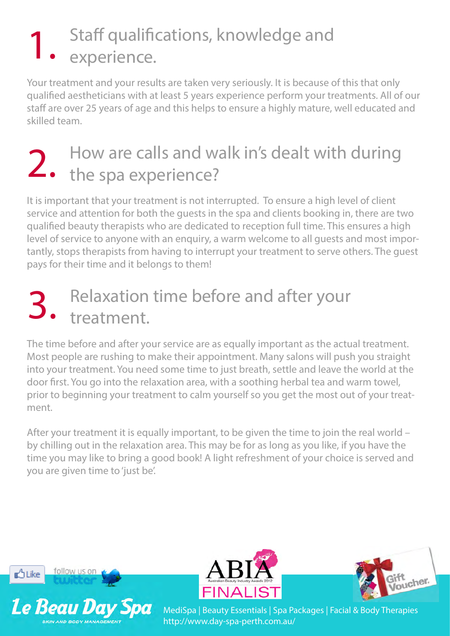## Staff qualifications, knowledge and 1. Staff qualific<br>
experience.

Your treatment and your results are taken very seriously. It is because of this that only qualified aestheticians with at least 5 years experience perform your treatments. All of our staff are over 25 years of age and this helps to ensure a highly mature, well educated and skilled team.

## How are calls and walk in's dealt with during 2. How are calls and way

It is important that your treatment is not interrupted. To ensure a high level of client service and attention for both the guests in the spa and clients booking in, there are two qualified beauty therapists who are dedicated to reception full time. This ensures a high level of service to anyone with an enquiry, a warm welcome to all guests and most importantly, stops therapists from having to interrupt your treatment to serve others. The guest pays for their time and it belongs to them!

#### Relaxation time before and after your treatment. 3.

The time before and after your service are as equally important as the actual treatment. Most people are rushing to make their appointment. Many salons will push you straight into your treatment. You need some time to just breath, settle and leave the world at the door first. You go into the relaxation area, with a soothing herbal tea and warm towel, prior to beginning your treatment to calm yourself so you get the most out of your treatment.

After your treatment it is equally important, to be given the time to join the real world – by chilling out in the relaxation area. This may be for as long as you like, if you have the time you may like to bring a good book! A light refreshment of your choice is served and you are given time to 'just be'.







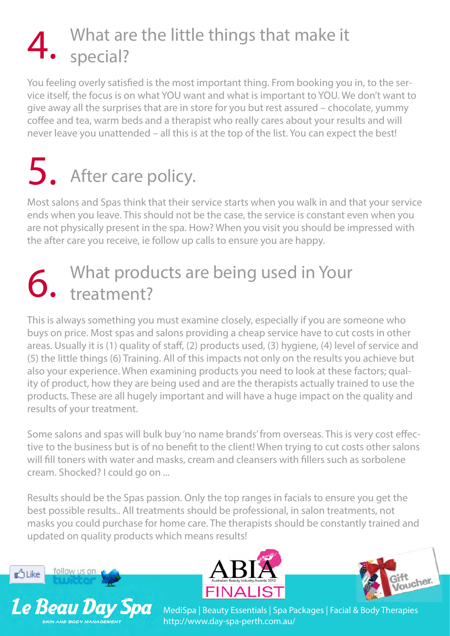#### What are the little things that make it special? 4.

You feeling overly satisfied is the most important thing. From booking you in, to the service itself, the focus is on what YOU want and what is important to YOU. We don't want to give away all the surprises that are in store for you but rest assured – chocolate, yummy coffee and tea, warm beds and a therapist who really cares about your results and will never leave you unattended – all this is at the top of the list. You can expect the best!

### After care policy. 5.

Most salons and Spas think that their service starts when you walk in and that your service ends when you leave. This should not be the case, the service is constant even when you are not physically present in the spa. How? When you visit you should be impressed with the after care you receive, ie follow up calls to ensure you are happy.

#### What products are being used in Your treatment? 6.

This is always something you must examine closely, especially if you are someone who buys on price. Most spas and salons providing a cheap service have to cut costs in other areas. Usually it is (1) quality of staff, (2) products used, (3) hygiene, (4) level of service and (5) the little things (6) Training. All of this impacts not only on the results you achieve but also your experience. When examining products you need to look at these factors; quality of product, how they are being used and are the therapists actually trained to use the products. These are all hugely important and will have a huge impact on the quality and results of your treatment.

Some salons and spas will bulk buy 'no name brands' from overseas. This is very cost effective to the business but is of no benefit to the client! When trying to cut costs other salons will fill toners with water and masks, cream and cleansers with fillers such as sorbolene cream. Shocked? I could go on ...

Results should be the Spas passion. Only the top ranges in facials to ensure you get the best possible results.. All treatments should be professional, in salon treatments, not masks you could purchase for home care. The therapists should be constantly trained and updated on quality products which means results!







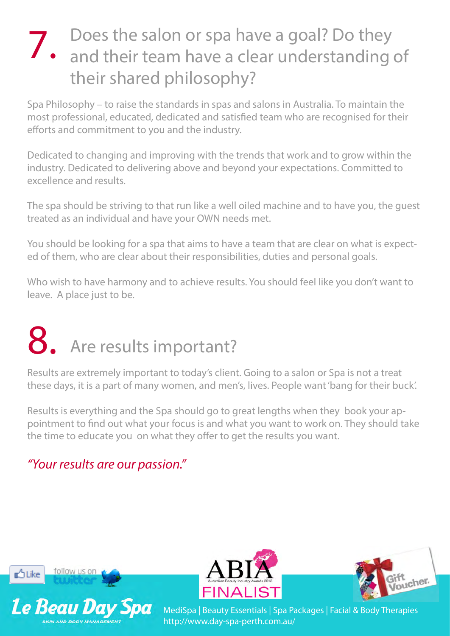## Does the salon or spa have a goal? Do they 7. Does the salon or spa have a goal? Do they<br>
7. and their team have a clear understanding of their shared philosophy?

Spa Philosophy – to raise the standards in spas and salons in Australia. To maintain the most professional, educated, dedicated and satisfied team who are recognised for their efforts and commitment to you and the industry.

Dedicated to changing and improving with the trends that work and to grow within the industry. Dedicated to delivering above and beyond your expectations. Committed to excellence and results.

The spa should be striving to that run like a well oiled machine and to have you, the guest treated as an individual and have your OWN needs met.

You should be looking for a spa that aims to have a team that are clear on what is expected of them, who are clear about their responsibilities, duties and personal goals.

Who wish to have harmony and to achieve results. You should feel like you don't want to leave. A place just to be.

# 8. Are results important?

Results are extremely important to today's client. Going to a salon or Spa is not a treat these days, it is a part of many women, and men's, lives. People want 'bang for their buck'.

Results is everything and the Spa should go to great lengths when they book your appointment to find out what your focus is and what you want to work on. They should take the time to educate you on what they offer to get the results you want.

#### *"Your results are our passion."*







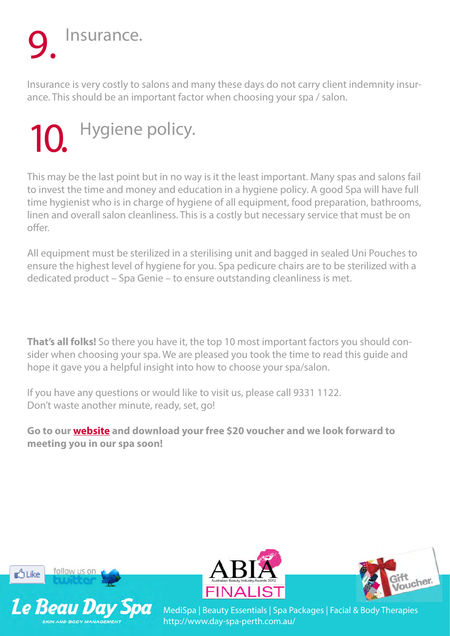## Insurance. 9.

Insurance is very costly to salons and many these days do not carry client indemnity insurance. This should be an important factor when choosing your spa / salon.

## Hygiene policy. 10.

This may be the last point but in no way is it the least important. Many spas and salons fail to invest the time and money and education in a hygiene policy. A good Spa will have full time hygienist who is in charge of hygiene of all equipment, food preparation, bathrooms, linen and overall salon cleanliness. This is a costly but necessary service that must be on offer.

All equipment must be sterilized in a sterilising unit and bagged in sealed Uni Pouches to ensure the highest level of hygiene for you. Spa pedicure chairs are to be sterilized with a dedicated product – Spa Genie – to ensure outstanding cleanliness is met.

**That's all folks!** So there you have it, the top 10 most important factors you should consider when choosing your spa. We are pleased you took the time to read this guide and hope it gave you a helpful insight into how to choose your spa/salon.

If you have any questions or would like to visit us, please call 9331 1122. Don't waste another minute, ready, set, go!

**Go to our [website](http://www.day-spa-perth.com.au) and download your free \$20 voucher and we look forward to meeting you in our spa soon!**